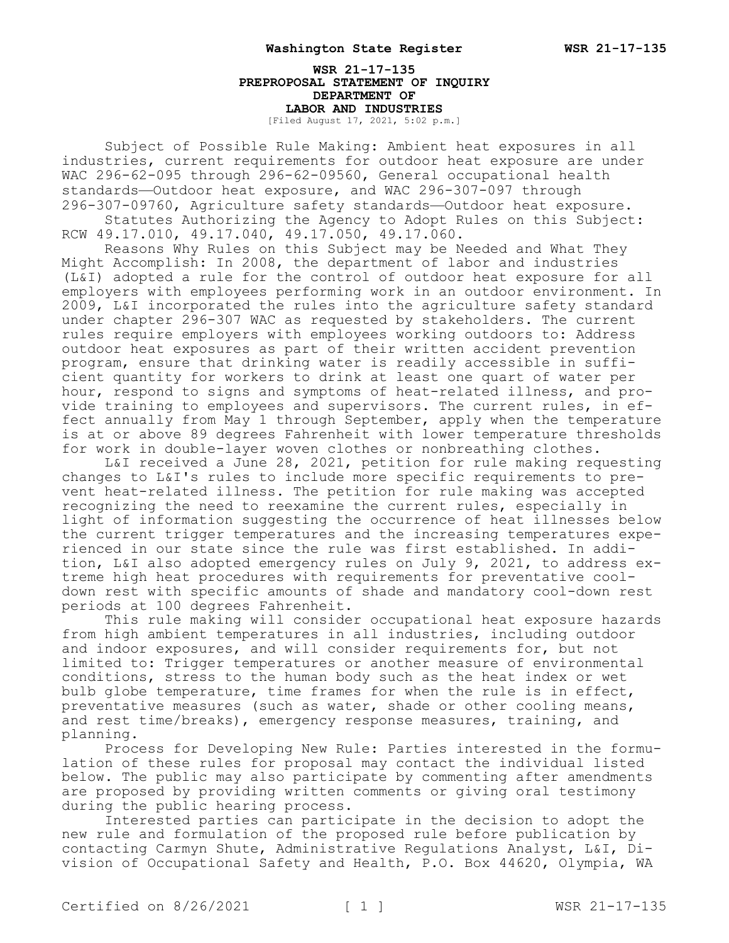**WSR 21-17-135 PREPROPOSAL STATEMENT OF INQUIRY DEPARTMENT OF LABOR AND INDUSTRIES** [Filed August 17, 2021, 5:02 p.m.]

Subject of Possible Rule Making: Ambient heat exposures in all industries, current requirements for outdoor heat exposure are under WAC 296-62-095 through 296-62-09560, General occupational health standards—Outdoor heat exposure, and WAC 296-307-097 through 296-307-09760, Agriculture safety standards—Outdoor heat exposure.

Statutes Authorizing the Agency to Adopt Rules on this Subject: RCW 49.17.010, 49.17.040, 49.17.050, 49.17.060.

Reasons Why Rules on this Subject may be Needed and What They Might Accomplish: In 2008, the department of labor and industries (L&I) adopted a rule for the control of outdoor heat exposure for all employers with employees performing work in an outdoor environment. In 2009, L&I incorporated the rules into the agriculture safety standard under chapter 296-307 WAC as requested by stakeholders. The current rules require employers with employees working outdoors to: Address outdoor heat exposures as part of their written accident prevention program, ensure that drinking water is readily accessible in sufficient quantity for workers to drink at least one quart of water per hour, respond to signs and symptoms of heat-related illness, and provide training to employees and supervisors. The current rules, in effect annually from May 1 through September, apply when the temperature is at or above 89 degrees Fahrenheit with lower temperature thresholds for work in double-layer woven clothes or nonbreathing clothes.

L&I received a June 28, 2021, petition for rule making requesting changes to L&I's rules to include more specific requirements to prevent heat-related illness. The petition for rule making was accepted recognizing the need to reexamine the current rules, especially in light of information suggesting the occurrence of heat illnesses below the current trigger temperatures and the increasing temperatures experienced in our state since the rule was first established. In addition, L&I also adopted emergency rules on July 9, 2021, to address extreme high heat procedures with requirements for preventative cooldown rest with specific amounts of shade and mandatory cool-down rest periods at 100 degrees Fahrenheit.

This rule making will consider occupational heat exposure hazards from high ambient temperatures in all industries, including outdoor and indoor exposures, and will consider requirements for, but not limited to: Trigger temperatures or another measure of environmental conditions, stress to the human body such as the heat index or wet bulb globe temperature, time frames for when the rule is in effect, preventative measures (such as water, shade or other cooling means, and rest time/breaks), emergency response measures, training, and planning.

Process for Developing New Rule: Parties interested in the formulation of these rules for proposal may contact the individual listed below. The public may also participate by commenting after amendments are proposed by providing written comments or giving oral testimony during the public hearing process.

Interested parties can participate in the decision to adopt the new rule and formulation of the proposed rule before publication by contacting Carmyn Shute, Administrative Regulations Analyst, L&I, Division of Occupational Safety and Health, P.O. Box 44620, Olympia, WA